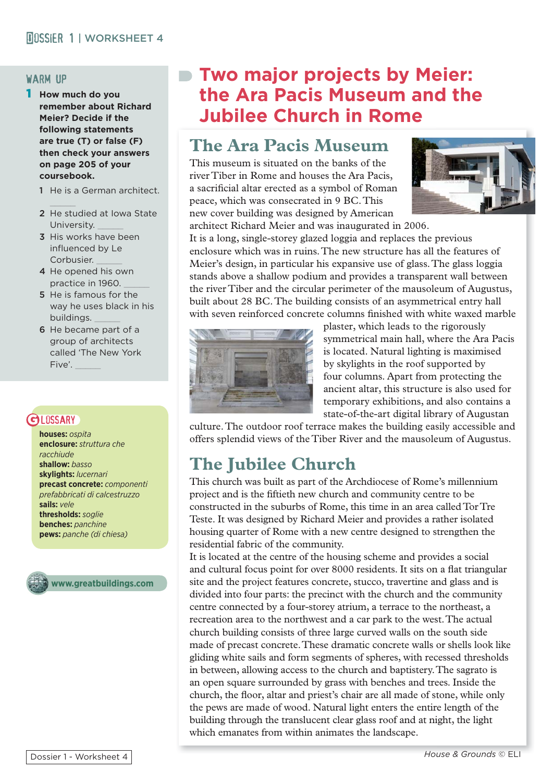#### warm up

- 1 **How much do you remember about Richard Meier? Decide if the following statements are true (T) or false (F) then check your answers on page 205 of your coursebook.** 
	- 1 He is a German architect.
	- $\frac{1}{2}$ 2 He studied at Iowa State University.
	- 3 His works have been influenced by Le Corbusier.
	- 4 He opened his own practice in 1960.
	- 5 He is famous for the way he uses black in his buildings. \_\_\_\_\_
	- 6 He became part of a group of architects called 'The New York Five'.

### **GLOSSARY**

**houses:** *ospita* **enclosure:** *struttura che racchiude*  **shallow:** *basso* **skylights:** *lucernari* **precast concrete:** *componenti prefabbricati di calcestruzzo*  **sails:** *vele* **thresholds:** *soglie* **benches:** *panchine* **pews:** *panche (di chiesa)*



**www.greatbuildings.com**

## **Two major projects by Meier: the Ara Pacis Museum and the Jubilee Church in Rome**

## **The Ara Pacis Museum**

This museum is situated on the banks of the river Tiber in Rome and houses the Ara Pacis, a sacrificial altar erected as a symbol of Roman peace, which was consecrated in 9 BC. This new cover building was designed by American architect Richard Meier and was inaugurated in 2006.



It is a long, single-storey glazed loggia and replaces the previous enclosure which was in ruins. The new structure has all the features of Meier's design, in particular his expansive use of glass. The glass loggia stands above a shallow podium and provides a transparent wall between the river Tiber and the circular perimeter of the mausoleum of Augustus, built about 28 BC. The building consists of an asymmetrical entry hall with seven reinforced concrete columns finished with white waxed marble



plaster, which leads to the rigorously symmetrical main hall, where the Ara Pacis is located. Natural lighting is maximised by skylights in the roof supported by four columns. Apart from protecting the ancient altar, this structure is also used for temporary exhibitions, and also contains a state-of-the-art digital library of Augustan

culture. The outdoor roof terrace makes the building easily accessible and offers splendid views of the Tiber River and the mausoleum of Augustus.

# **The Jubilee Church**

This church was built as part of the Archdiocese of Rome's millennium project and is the fiftieth new church and community centre to be constructed in the suburbs of Rome, this time in an area called Tor Tre Teste. It was designed by Richard Meier and provides a rather isolated housing quarter of Rome with a new centre designed to strengthen the residential fabric of the community.

It is located at the centre of the housing scheme and provides a social and cultural focus point for over 8000 residents. It sits on a flat triangular site and the project features concrete, stucco, travertine and glass and is divided into four parts: the precinct with the church and the community centre connected by a four-storey atrium, a terrace to the northeast, a recreation area to the northwest and a car park to the west. The actual church building consists of three large curved walls on the south side made of precast concrete. These dramatic concrete walls or shells look like gliding white sails and form segments of spheres, with recessed thresholds in between, allowing access to the church and baptistery. The sagrato is an open square surrounded by grass with benches and trees. Inside the church, the floor, altar and priest's chair are all made of stone, while only the pews are made of wood. Natural light enters the entire length of the building through the translucent clear glass roof and at night, the light which emanates from within animates the landscape.